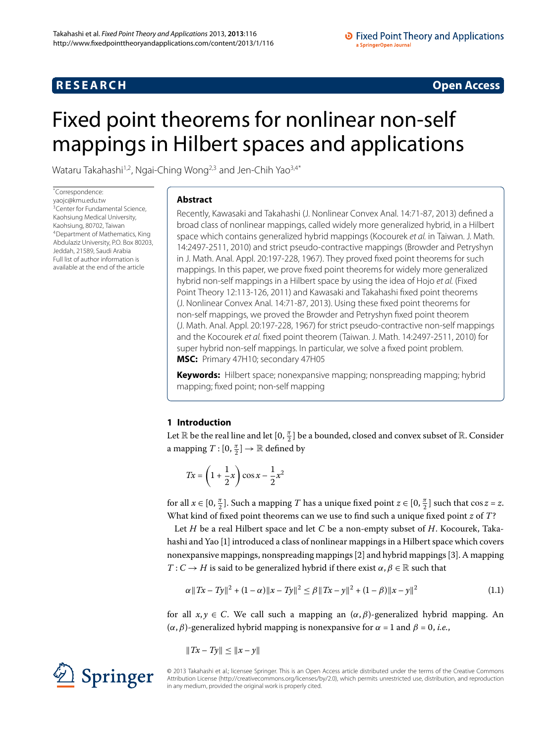# **RESEARCH CONSTRUCTER ACCESS**

# <span id="page-0-0"></span>Fixed point theorems for nonlinear non-self mappings in Hilbert spaces and applications

Wataru Takahashi<sup>[1](#page-12-0)[,2](#page-12-1)</sup>, Ngai-Ching Wong<sup>2,[3](#page-12-2)</sup> and Jen-Chih Yao<sup>3,[4](#page-12-3)[\\*](#page-0-0)</sup>

\* Correspondence: [yaojc@kmu.edu.tw](mailto:yaojc@kmu.edu.tw) <sup>3</sup>Center for Fundamental Science. Kaohsiung Medical University, [K](#page-12-3)aohsiung, 80702, Taiwan 4Department of Mathematics, King Abdulaziz University, P.O. Box 80203, Jeddah, 21589, Saudi Arabia Full list of author information is available at the end of the article

# **Abstract**

Recently, Kawasaki and Takahashi (J. Nonlinear Convex Anal. 14:71-87, 2013) defined a broad class of nonlinear mappings, called widely more generalized hybrid, in a Hilbert space which contains generalized hybrid mappings (Kocourek et al. in Taiwan. J. Math. 14:2497-2511, 2010) and strict pseudo-contractive mappings (Browder and Petryshyn in J. Math. Anal. Appl. 20:197-228, 1967). They proved fixed point theorems for such mappings. In this paper, we prove fixed point theorems for widely more generalized hybrid non-self mappings in a Hilbert space by using the idea of Hojo et al. (Fixed Point Theory 12:113-126, 2011) and Kawasaki and Takahashi fixed point theorems (J. Nonlinear Convex Anal. 14:71-87, 2013). Using these fixed point theorems for non-self mappings, we proved the Browder and Petryshyn fixed point theorem (J. Math. Anal. Appl. 20:197-228, 1967) for strict pseudo-contractive non-self mappings and the Kocourek et al. fixed point theorem (Taiwan. J. Math. 14:2497-2511, 2010) for super hybrid non-self mappings. In particular, we solve a fixed point problem. **MSC:** Primary 47H10; secondary 47H05

**Keywords:** Hilbert space; nonexpansive mapping; nonspreading mapping; hybrid mapping; fixed point; non-self mapping

# **1 Introduction**

Let  $\mathbb R$  be the real line and let  $[0, \frac \pi 2]$  be a bounded, closed and convex subset of  $\mathbb R.$  Consider a mapping  $T : [0, \frac{\pi}{2}] \rightarrow \mathbb{R}$  defined by

$$
Tx = \left(1 + \frac{1}{2}x\right)\cos x - \frac{1}{2}x^2
$$

for all  $x \in [0, \frac{\pi}{2}]$ . Such a mapping *T* has a unique fixed point  $z \in [0, \frac{\pi}{2}]$  such that  $\cos z = z$ . What kind of fixed point theorems can we use to find such a unique fixed point *z* of *T*?

Let *H* be a real Hilbert space and let *C* be a non-empty subset of *H*. Kocourek, Takahashi and Yao [[\]](#page-13-0) introduced a class of nonlinear mappings in a Hilbert space which covers nonexpansive mappings, nonspreading mappings [2[\]](#page-13-1) and hybrid mappings [\[](#page-13-2)3]. A mapping *T* : *C*  $\rightarrow$  *H* is said to be generalized hybrid if there exist  $\alpha$ ,  $\beta \in \mathbb{R}$  such that

$$
\alpha \|Tx - Ty\|^2 + (1 - \alpha) \|x - Ty\|^2 \le \beta \|Tx - y\|^2 + (1 - \beta) \|x - y\|^2 \tag{1.1}
$$

for all  $x, y \in C$ . We call such a mapping an  $(\alpha, \beta)$ -generalized hybrid mapping. An  $(\alpha, \beta)$ -generalized hybrid mapping is nonexpansive for  $\alpha = 1$  and  $\beta = 0$ , *i.e.*,

$$
\|Tx - Ty\| \le \|x - y\|
$$

© 2013 Takahashi et al.; licensee Springer. This is an Open Access article distributed under the terms of the Creative Commons Attribution License [\(http://creativecommons.org/licenses/by/2.0](http://creativecommons.org/licenses/by/2.0)), which permits unrestricted use, distribution, and reproduction in any medium, provided the original work is properly cited.

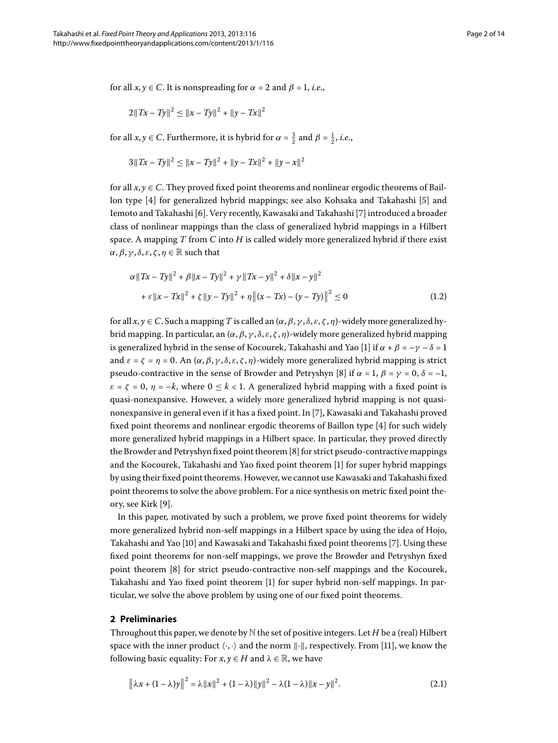for all  $x, y \in C$ . It is nonspreading for  $\alpha = 2$  and  $\beta = 1$ , *i.e.*,

$$
2||Tx - Ty||^{2} \le ||x - Ty||^{2} + ||y - Tx||^{2}
$$

for all  $x, y \in C$ . Furthermore, it is hybrid for  $\alpha = \frac{3}{2}$  and  $\beta = \frac{1}{2}$ , *i.e.*,

$$
3||Tx - Ty||^{2} \le ||x - Ty||^{2} + ||y - Tx||^{2} + ||y - x||^{2}
$$

for all  $x, y \in C$ . They proved fixed point theorems and nonlinear ergodic theorems of Bail-lon type [4[\]](#page-13-4) for generalized hybrid mappings; see also Kohsaka and Takahashi [5] and Iemoto and Takahashi [6[\]](#page-13-6). Very recently, Kawasaki and Takahashi [7] introduced a broader class of nonlinear mappings than the class of generalized hybrid mappings in a Hilbert space. A mapping *T* from *C* into *H* is called widely more generalized hybrid if there exist *α*, *β*, *γ*, *δ*, *ε*, *ζ*, *η* ∈ ℝ such that

$$
\alpha \|Tx - Ty\|^2 + \beta \|x - Ty\|^2 + \gamma \|Tx - y\|^2 + \delta \|x - y\|^2
$$
  
+ 
$$
\varepsilon \|x - Tx\|^2 + \zeta \|y - Ty\|^2 + \eta \| (x - Tx) - (y - Ty) \|^2 \le 0
$$
 (1.2)

for all  $x, y \in C$ . Such a mapping *T* is called an  $(\alpha, \beta, \gamma, \delta, \varepsilon, \zeta, \eta)$ -widely more generalized hybrid mapping. In particular, an (*α*,*β*, *γ* , *δ*, *ε*, *ζ* , *η*)-widely more generalized hybrid mapping is generalized hybrid in the sense of Kocourek, Takahashi and Yao [1[\]](#page-13-0) if  $\alpha + \beta = -\gamma - \delta = 1$ and  $\varepsilon = \zeta = \eta = 0$ . An  $(\alpha, \beta, \gamma, \delta, \varepsilon, \zeta, \eta)$ -widely more generalized hybrid mapping is strict pseudo-contractive in the sense of Browder and Petryshyn [8] if  $\alpha = 1$ ,  $\beta = \gamma = 0$ ,  $\delta = -1$ ,  $\varepsilon = \zeta = 0$ ,  $\eta = -k$ , where  $0 \le k < 1$ . A generalized hybrid mapping with a fixed point is quasi-nonexpansive. However, a widely more generalized hybrid mapping is not quasi-nonexpansive in general even if it has a fixed point. In [\[](#page-13-6)7], Kawasaki and Takahashi proved fixed point theorems and nonlinear ergodic theorems of Baillon type  $[4]$  $[4]$  for such widely more generalized hybrid mappings in a Hilbert space. In particular, they proved directly the Browder and Petryshyn fixed point theorem [8[\]](#page-13-7) for strict pseudo-contractive mappings and the Kocourek, Takahashi and Yao fixed point theorem [[\]](#page-13-0) for super hybrid mappings by using their fixed point theorems. However, we cannot use Kawasaki and Takahashi fixed point theorems to solve the above problem. For a nice synthesis on metric fixed point the-ory, see Kirk [9[\]](#page-13-8).

In this paper, motivated by such a problem, we prove fixed point theorems for widely more generalized hybrid non-self mappings in a Hilbert space by using the idea of Hojo, Takahashi and Yao [10[\]](#page-13-9) and Kawasaki and Takahashi fixed point theorems [\[](#page-13-6)7]. Using these fixed point theorems for non-self mappings, we prove the Browder and Petryshyn fixed point theorem [8] for strict pseudo-contractive non-self mappings and the Kocourek, Takahashi and Yao fixed point theorem [[\]](#page-13-0) for super hybrid non-self mappings. In particular, we solve the above problem by using one of our fixed point theorems.

## **2 Preliminaries**

Throughout this paper, we denote by N the set of positive integers. Let *H* be a (real) Hilbert space with the inner product  $\langle \cdot, \cdot \rangle$  and the norm  $\|\cdot\|$ , respectively. From [11], we know the following basic equality: For  $x, y \in H$  and  $\lambda \in \mathbb{R}$ , we have

<span id="page-1-0"></span>
$$
\left\|\lambda x + (1 - \lambda)y\right\|^2 = \lambda \|x\|^2 + (1 - \lambda)\|y\|^2 - \lambda(1 - \lambda)\|x - y\|^2.
$$
 (2.1)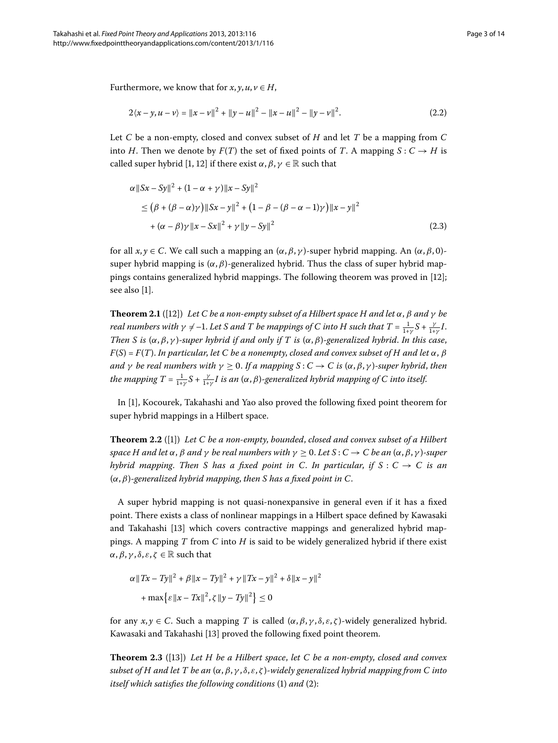Furthermore, we know that for  $x, y, u, v \in H$ ,

$$
2\langle x-y,u-v\rangle = \|x-v\|^2 + \|y-u\|^2 - \|x-u\|^2 - \|y-v\|^2. \tag{2.2}
$$

Let *C* be a non-empty, closed and convex subset of *H* and let *T* be a mapping from *C* into *H*. Then we denote by  $F(T)$  the set of fixed points of *T*. A mapping  $S: C \rightarrow H$  is called super hybrid [1[,](#page-13-0) 12[\]](#page-13-11) if there exist  $\alpha$ ,  $\beta$ ,  $\gamma \in \mathbb{R}$  such that

$$
\alpha ||Sx - Sy||2 + (1 - \alpha + \gamma) ||x - Sy||2
$$
  
\n
$$
\leq (\beta + (\beta - \alpha)\gamma) ||Sx - y||2 + (1 - \beta - (\beta - \alpha - 1)\gamma) ||x - y||2
$$
  
\n
$$
+ (\alpha - \beta)\gamma ||x - Sx||2 + \gamma ||y - Sy||2
$$
\n(2.3)

for all *x*, *y* ∈ *C*. We call such a mapping an (*α*,*β*, *γ* )-super hybrid mapping. An (*α*,*β*, ) super hybrid mapping is  $(\alpha, \beta)$ -generalized hybrid. Thus the class of super hybrid mappings contains generalized hybrid mappings. The following theorem was proved in  $[12]$  $[12]$ ; see also [\[](#page-13-0)1].

**Theorem 2.1** ([12]) *Let C be a non-empty subset of a Hilbert space H and let*  $\alpha$ ,  $\beta$  *and*  $\gamma$  *be real numbers with*  $\gamma \neq -1$ *. Let S and T be mappings of C into H such that T =*  $\frac{1}{1+\gamma}S + \frac{\gamma}{1+\gamma}I$ *. Then S is*  $(\alpha, \beta, \gamma)$ *-super hybrid if and only if T is*  $(\alpha, \beta)$ *-generalized hybrid. In this case,*  $F(S) = F(T)$ . *In particular, let* C *be a nonempty, closed and convex subset of H and let*  $\alpha$ ,  $\beta$ *and*  $\gamma$  *be real numbers with*  $\gamma \geq 0$ . If a mapping  $S: C \to C$  is  $(\alpha, \beta, \gamma)$ -super hybrid, then the mapping T =  $\frac{1}{1+\gamma}S + \frac{\gamma}{1+\gamma}I$  is an (α, β)-generalized hybrid mapping of C into itself.

In [\[](#page-13-0)], Kocourek, Takahashi and Yao also proved the following fixed point theorem for super hybrid mappings in a Hilbert space.

**Theorem 2.2** ([1[\]](#page-13-0)) Let C be a non-empty, bounded, closed and convex subset of a Hilbert *space H* and let  $\alpha$ ,  $\beta$  *and*  $\gamma$  *be real numbers with*  $\gamma$  ≥ 0. Let *S* : *C* → *C be an* ( $\alpha$ ,  $\beta$ ,  $\gamma$ )-super *hybrid mapping. Then S has a fixed point in C. In particular, if*  $S: C \rightarrow C$  *is an* (*α*,*β*)*-generalized hybrid mapping*, *then S has a fixed point in C*.

A super hybrid mapping is not quasi-nonexpansive in general even if it has a fixed point. There exists a class of nonlinear mappings in a Hilbert space defined by Kawasaki and Takahashi [13] which covers contractive mappings and generalized hybrid mappings. A mapping *T* from *C* into *H* is said to be widely generalized hybrid if there exist *α*, *β*, *γ*, *δ*, *ε*, *ζ* ∈ ℝ such that

$$
\alpha \|Tx - Ty\|^2 + \beta \|x - Ty\|^2 + \gamma \|Tx - y\|^2 + \delta \|x - y\|^2
$$

$$
+ \max \{\varepsilon \|x - Tx\|^2, \zeta \|y - Ty\|^2\} \le 0
$$

for any *x*, *y* ∈ *C*. Such a mapping *T* is called (*α*,*β*, *γ* , *δ*, *ε*, *ζ* )-widely generalized hybrid. Kawasaki and Takahashi [\[](#page-13-12)13] proved the following fixed point theorem.

**Theorem .** ([\[](#page-13-12)]) *Let H be a Hilbert space*, *let C be a non-empty*, *closed and convex subset of H and let T be an* (*α*,*β*, *γ* , *δ*, *ε*, *ζ* )*-widely generalized hybrid mapping from C into itself which satisfies the following conditions* (1) and (2):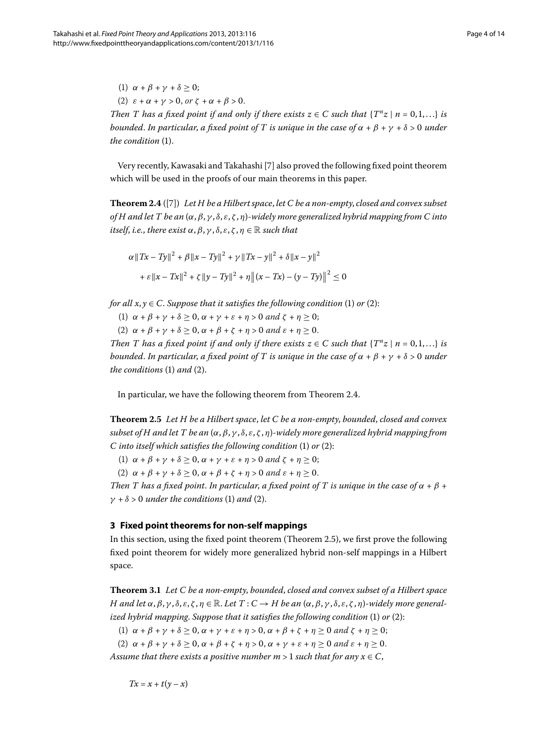<span id="page-3-0"></span>(1)  $\alpha + \beta + \gamma + \delta \geq 0$ ; (2)  $\varepsilon + \alpha + \gamma > 0$ ,  $\omega r \zeta + \alpha + \beta > 0$ . *Then T has a fixed point if and only if there exists*  $z \in C$  *such that*  $\{T^n z \mid n = 0, 1, ...\}$  *is bounded. In particular, a fixed point of T is unique in the case of*  $\alpha + \beta + \gamma + \delta > 0$  *under the condition* (1).

Very recently, Kawasaki and Takahashi [\[](#page-13-6)7] also proved the following fixed point theorem which will be used in the proofs of our main theorems in this paper.

**Theorem 2.4** ([\[](#page-13-6)7]) Let H be a Hilbert space, let C be a non-empty, closed and convex subset *of H and let T be an* (*α*,*β*, *γ* , *δ*, *ε*, *ζ* , *η*)*-widely more generalized hybrid mapping from C into itself, i.e., there exist*  $\alpha$ *,*  $\beta$ *,*  $\gamma$ *,*  $\delta$ *,*  $\varepsilon$ *,*  $\zeta$ *,*  $\eta \in \mathbb{R}$  *such that* 

$$
\alpha \|Tx - Ty\|^2 + \beta \|x - Ty\|^2 + \gamma \|Tx - y\|^2 + \delta \|x - y\|^2
$$

$$
+ \varepsilon \|x - Tx\|^2 + \zeta \|y - Ty\|^2 + \eta \| (x - Tx) - (y - Ty) \|^2 \le 0
$$

*for all*  $x, y \in C$ *. Suppose that it satisfies the following condition* (1) *or* (2):

(1)  $\alpha + \beta + \gamma + \delta \geq 0$ ,  $\alpha + \gamma + \varepsilon + \eta > 0$  and  $\zeta + \eta \geq 0$ ;

(2)  $\alpha + \beta + \gamma + \delta \geq 0$ ,  $\alpha + \beta + \zeta + \eta > 0$  and  $\varepsilon + \eta \geq 0$ .

<span id="page-3-1"></span>*Then T has a fixed point if and only if there exists*  $z \in C$  *such that*  $\{T^n z \mid n = 0, 1, ...\}$  *is bounded. In particular, a fixed point of T is unique in the case of*  $\alpha + \beta + \gamma + \delta > 0$  *under the conditions* (1) *and* (2).

In particular, we have the following theorem from Theorem 2[.](#page-3-0)4.

**Theorem .** *Let H be a Hilbert space*, *let C be a non-empty*, *bounded*, *closed and convex subset of H and let T be an* (*α*,*β*, *γ* , *δ*, *ε*, *ζ* , *η*)*-widely more generalized hybrid mapping from C* into itself which satisfies the following condition (1) or (2):

(1)  $\alpha + \beta + \gamma + \delta > 0$ ,  $\alpha + \gamma + \varepsilon + \eta > 0$  and  $\zeta + \eta > 0$ ;

(2)  $\alpha + \beta + \gamma + \delta \geq 0$ ,  $\alpha + \beta + \zeta + \eta > 0$  and  $\varepsilon + \eta \geq 0$ .

*Then T has a fixed point. In particular, a fixed point of T is unique in the case of*  $\alpha + \beta$  +  $\gamma + \delta > 0$  *under the conditions* (1) *and* (2).

# <span id="page-3-2"></span>**3 Fixed point theorems for non-self mappings**

In this section, using the fixed point theorem (Theorem 2.5), we first prove the following fixed point theorem for widely more generalized hybrid non-self mappings in a Hilbert space.

**Theorem .** *Let C be a non-empty*, *bounded*, *closed and convex subset of a Hilbert space* H and let  $\alpha, \beta, \gamma, \delta, \varepsilon, \zeta, \eta \in \mathbb{R}$ . Let  $T: C \to H$  be an  $(\alpha, \beta, \gamma, \delta, \varepsilon, \zeta, \eta)$ -widely more general*ized hybrid mapping. Suppose that it satisfies the following condition* (1) or (2):

(1)  $\alpha + \beta + \gamma + \delta \geq 0$ ,  $\alpha + \gamma + \varepsilon + \eta > 0$ ,  $\alpha + \beta + \zeta + \eta \geq 0$  and  $\zeta + \eta \geq 0$ ;

(2)  $\alpha + \beta + \gamma + \delta \geq 0$ ,  $\alpha + \beta + \zeta + \eta > 0$ ,  $\alpha + \gamma + \varepsilon + \eta \geq 0$  and  $\varepsilon + \eta \geq 0$ .

*Assume that there exists a positive number m* > 1 *such that for any*  $x \in C$ ,

$$
Tx = x + t(y - x)
$$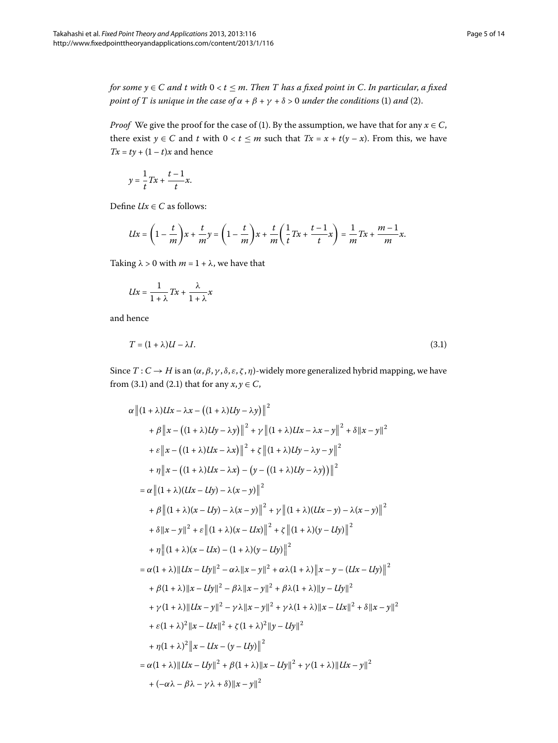*for some y*  $\in$  *C* and t with  $0 < t \leq m$ . Then T has a fixed point in C. In particular, a fixed *point of T is unique in the case of*  $\alpha + \beta + \gamma + \delta > 0$  *under the conditions* (1) *and* (2).

*Proof* We give the proof for the case of (1). By the assumption, we have that for any  $x \in C$ , there exist  $y \in C$  and  $t$  with  $0 < t \leq m$  such that  $Tx = x + t(y - x)$ . From this, we have  $Tx = ty + (1 - t)x$  and hence

$$
y = \frac{1}{t}Tx + \frac{t-1}{t}x.
$$

Define  $Ux \in C$  as follows:

$$
Ux = \left(1 - \frac{t}{m}\right)x + \frac{t}{m}y = \left(1 - \frac{t}{m}\right)x + \frac{t}{m}\left(\frac{1}{t}Tx + \frac{t-1}{t}x\right) = \frac{1}{m}Tx + \frac{m-1}{m}x.
$$

Taking  $\lambda > 0$  with  $m = 1 + \lambda$ , we have that

<span id="page-4-0"></span>
$$
Ux = \frac{1}{1+\lambda}Tx + \frac{\lambda}{1+\lambda}x
$$

and hence

$$
T = (1 + \lambda)U - \lambda I. \tag{3.1}
$$

Since  $T: C \to H$  is an  $(\alpha, \beta, \gamma, \delta, \varepsilon, \zeta, \eta)$ -widely more generalized hybrid mapping, we have from (3.1) and (2.1) that for any  $x, y \in C$ ,

$$
\alpha \| (1 + \lambda)Ux - \lambda x - ((1 + \lambda)Uy - \lambda y) \|^{2}
$$
  
+  $\beta \| x - ((1 + \lambda)Uy - \lambda y) \|^{2} + \gamma \| (1 + \lambda)Ux - \lambda x - y \|^{2} + \delta \| x - y \|^{2}$   
+  $\varepsilon \| x - ((1 + \lambda)Ux - \lambda x) \|^{2} + \zeta \| (1 + \lambda)Uy - \lambda y - y \|^{2}$   
+  $\eta \| x - ((1 + \lambda)Ux - \lambda x) - (y - ((1 + \lambda)Uy - \lambda y)) \|^{2}$   
=  $\alpha \| (1 + \lambda)(Ux - Uy) - \lambda(x - y) \|^{2}$   
+  $\beta \| (1 + \lambda)(x - Uy) - \lambda(x - y) \|^{2} + \gamma \| (1 + \lambda)(Ux - y) - \lambda(x - y) \|^{2}$   
+  $\delta \| x - y \|^{2} + \varepsilon \| (1 + \lambda)(x - Ux) \|^{2} + \zeta \| (1 + \lambda)(y - Uy) \|^{2}$   
+  $\eta \| (1 + \lambda)(x - Ux) - (1 + \lambda)(y - Uy) \|^{2}$   
=  $\alpha (1 + \lambda) \| Ux - Uy \|^{2} - \alpha \lambda \| x - y \|^{2} + \alpha \lambda (1 + \lambda) \| x - y - (Ux - Uy) \|^{2}$   
+  $\beta (1 + \lambda) \| x - Uy \|^{2} - \beta \lambda \| x - y \|^{2} + \beta \lambda (1 + \lambda) \| y - Uy \|^{2}$   
+  $\gamma (1 + \lambda) \| Ux - y \|^{2} - \gamma \lambda \| x - y \|^{2} + \gamma \lambda (1 + \lambda) \| y - Ux \|^{2} + \delta \| x - y \|^{2}$   
+  $\gamma (1 + \lambda)^{2} \| x - Ux \|^{2} + \zeta (1 + \lambda)^{2} \| y - Uy \|^{2}$   
+  $\gamma (1 + \lambda)^{2} \| x - Ux \|^{2} + \zeta (1 + \lambda)^{2} \| y - Uy \|^{2}$   
+  $\eta (1 + \lambda)^{2} \| x - Ux \|^{2} + \zeta (1 + \lambda)^{2} \| y - Uy \|^{2}$   
=  $\alpha (1 + \lambda) \| Ux - Uy \|^{2} + \beta (1 + \lambda) \| x - Uy \|^{2} + \gamma (1 + \lambda) \| Ux -$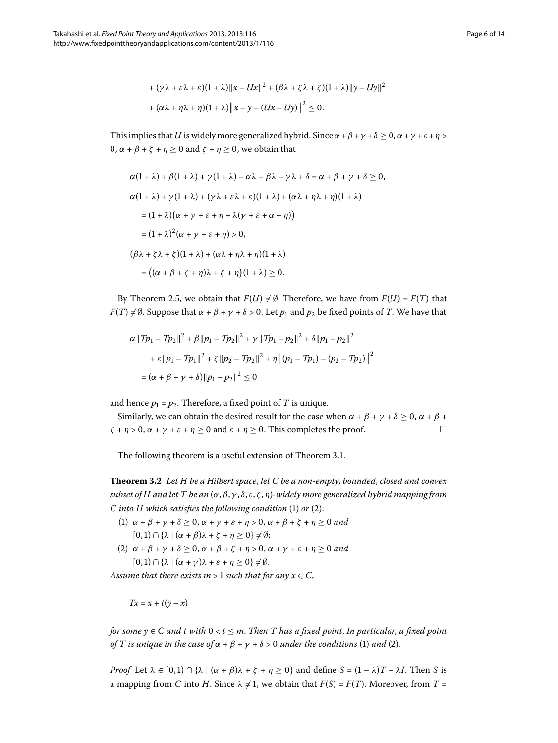+ 
$$
(\gamma \lambda + \varepsilon \lambda + \varepsilon)(1 + \lambda) ||x - Ux||^2 + (\beta \lambda + \zeta \lambda + \zeta)(1 + \lambda) ||y - Uy||^2
$$
  
+  $(\alpha \lambda + \eta \lambda + \eta)(1 + \lambda) ||x - y - (Ux - Uy)||^2 \le 0.$ 

This implies that *U* is widely more generalized hybrid. Since  $\alpha + \beta + \gamma + \delta \geq 0$ ,  $\alpha + \gamma + \varepsilon + \eta$  $0, α + β + ζ + η ≥ 0$  and  $ζ + η ≥ 0$ , we obtain that

$$
\alpha(1 + \lambda) + \beta(1 + \lambda) + \gamma(1 + \lambda) - \alpha\lambda - \beta\lambda - \gamma\lambda + \delta = \alpha + \beta + \gamma + \delta \ge 0,
$$
  
\n
$$
\alpha(1 + \lambda) + \gamma(1 + \lambda) + (\gamma\lambda + \varepsilon\lambda + \varepsilon)(1 + \lambda) + (\alpha\lambda + \eta\lambda + \eta)(1 + \lambda)
$$
  
\n
$$
= (1 + \lambda)(\alpha + \gamma + \varepsilon + \eta + \lambda(\gamma + \varepsilon + \alpha + \eta))
$$
  
\n
$$
= (1 + \lambda)^2(\alpha + \gamma + \varepsilon + \eta) > 0,
$$
  
\n
$$
(\beta\lambda + \zeta\lambda + \zeta)(1 + \lambda) + (\alpha\lambda + \eta\lambda + \eta)(1 + \lambda)
$$
  
\n
$$
= ((\alpha + \beta + \zeta + \eta)\lambda + \zeta + \eta)(1 + \lambda) \ge 0.
$$

By Theorem 2.5, we obtain that  $F(U) \neq \emptyset$ . Therefore, we have from  $F(U) = F(T)$  that *F*(*T*)  $\neq$  Ø. Suppose that  $\alpha + \beta + \gamma + \delta$  > 0. Let  $p_1$  and  $p_2$  be fixed points of *T*. We have that

$$
\alpha ||Tp_1 - Tp_2||^2 + \beta ||p_1 - Tp_2||^2 + \gamma ||Tp_1 - p_2||^2 + \delta ||p_1 - p_2||^2
$$
  
+  $\varepsilon ||p_1 - Tp_1||^2 + \zeta ||p_2 - Tp_2||^2 + \eta ||(p_1 - Tp_1) - (p_2 - Tp_2)||^2$   
=  $(\alpha + \beta + \gamma + \delta) ||p_1 - p_2||^2 \le 0$ 

<span id="page-5-0"></span>and hence  $p_1 = p_2$ . Therefore, a fixed point of *T* is unique.

Similarly, we can obtain the desired result for the case when  $\alpha + \beta + \gamma + \delta \geq 0$ ,  $\alpha + \beta + \gamma$  $\zeta + \eta > 0$ ,  $\alpha + \gamma + \varepsilon + \eta \ge 0$  and  $\varepsilon + \eta \ge 0$ . This completes the proof.  $\Box$ 

The following theorem is a useful extension of Theorem 3.1.

**Theorem .** *Let H be a Hilbert space*, *let C be a non-empty*, *bounded*, *closed and convex subset of H and let T be an* (*α*,*β*, *γ* , *δ*, *ε*, *ζ* , *η*)*-widely more generalized hybrid mapping from C* into *H* which satisfies the following condition (1) or (2):

- (1)  $\alpha + \beta + \gamma + \delta \geq 0$ ,  $\alpha + \gamma + \varepsilon + \eta > 0$ ,  $\alpha + \beta + \zeta + \eta \geq 0$  and  $[0, 1) \cap {\lambda \mid (\alpha + \beta)\lambda + \zeta + \eta \geq 0} \neq \emptyset;$
- (2)  $\alpha + \beta + \gamma + \delta \ge 0$ ,  $\alpha + \beta + \zeta + \eta > 0$ ,  $\alpha + \gamma + \varepsilon + \eta \ge 0$  and  $[0, 1) \cap {\lambda \mid (\alpha + \gamma)\lambda + \varepsilon + \eta \geq 0} \neq \emptyset.$

*Assume that there exists m* > 1 *such that for any*  $x \in C$ ,

 $Tx = x + t(y - x)$ 

*for some*  $y \in C$  *and t with*  $0 < t \leq m$ . *Then T has a fixed point. In particular, a fixed point of T* is unique in the case of  $\alpha + \beta + \gamma + \delta > 0$  under the conditions (1) and (2).

*Proof* Let  $\lambda \in [0, 1) \cap {\lambda \setminus (\alpha + \beta) \lambda + \zeta + \eta \geq 0}$  and define  $S = (1 - \lambda)T + \lambda I$ . Then *S* is a mapping from *C* into *H*. Since  $\lambda \neq 1$ , we obtain that  $F(S) = F(T)$ . Moreover, from  $T =$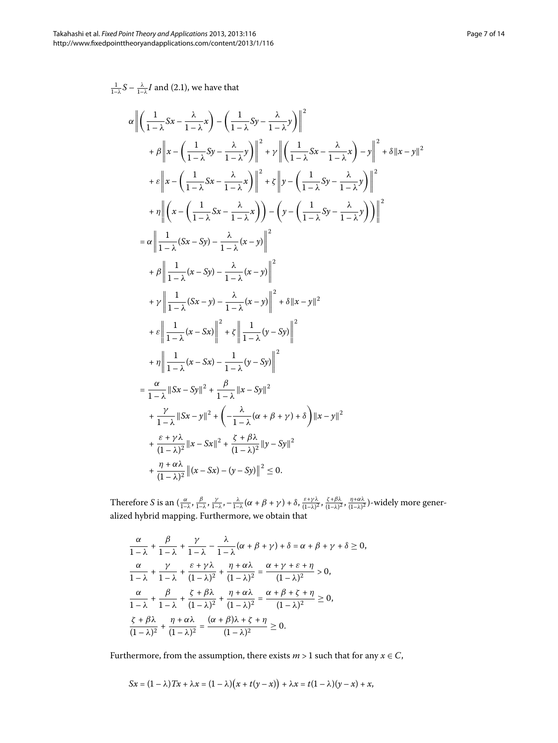$\frac{1}{1-\lambda}S - \frac{\lambda}{1-\lambda}I$  and (2.1), we have that

$$
\alpha \left\| \left( \frac{1}{1-\lambda} Sx - \frac{\lambda}{1-\lambda} x \right) - \left( \frac{1}{1-\lambda} Sy - \frac{\lambda}{1-\lambda} y \right) \right\|^2
$$
  
+  $\beta \left\| x - \left( \frac{1}{1-\lambda} Sy - \frac{\lambda}{1-\lambda} y \right) \right\|^2 + \gamma \left\| \left( \frac{1}{1-\lambda} Sx - \frac{\lambda}{1-\lambda} x \right) - y \right\|^2 + \delta \| x - y \|^2$   
+  $\varepsilon \left\| x - \left( \frac{1}{1-\lambda} Sx - \frac{\lambda}{1-\lambda} x \right) \right\|^2 + \varepsilon \left\| y - \left( \frac{1}{1-\lambda} Sy - \frac{\lambda}{1-\lambda} y \right) \right\|^2$   
+  $\eta \left\| \left( x - \left( \frac{1}{1-\lambda} Sx - \frac{\lambda}{1-\lambda} x \right) \right) - \left( y - \left( \frac{1}{1-\lambda} Sy - \frac{\lambda}{1-\lambda} y \right) \right) \right\|^2$   
=  $\alpha \left\| \frac{1}{1-\lambda} (Sx - Sy) - \frac{\lambda}{1-\lambda} (x - y) \right\|^2$   
+  $\beta \left\| \frac{1}{1-\lambda} (x - Sy) - \frac{\lambda}{1-\lambda} (x - y) \right\|^2$   
+  $\gamma \left\| \frac{1}{1-\lambda} (Sx - y) - \frac{\lambda}{1-\lambda} (x - y) \right\|^2$   
+  $\varepsilon \left\| \frac{1}{1-\lambda} (x - Sx) \right\|^2 + \varepsilon \left\| \frac{1}{1-\lambda} (y - Sy) \right\|^2$   
+  $\eta \left\| \frac{1}{1-\lambda} (x - Sx) - \frac{1}{1-\lambda} (y - Sy) \right\|^2$   
=  $\frac{\alpha}{1-\lambda} \| Sx - Sy \|^2 + \frac{\beta}{1-\lambda} \| x - Sy \|^2$   
+  $\frac{\gamma}{1-\lambda} \| Sx - y \|^2 + \left( -\frac{\lambda}{1-\lambda} (x + \beta + \gamma) + \delta \right) \| x - y \|^2$   
+  $\frac{\varepsilon + \gamma \lambda}{1-\lambda} \| x - Sx \|^2 + \left( \frac{\lambda}{1-\lambda} (x$ 

Therefore S is an  $(\frac{\alpha}{1-\lambda}, \frac{\beta}{1-\lambda}, \frac{\gamma}{1-\lambda}, -\frac{\lambda}{1-\lambda}(\alpha+\beta+\gamma)+\delta, \frac{\varepsilon+\gamma\lambda}{(1-\lambda)^2}, \frac{\zeta+\beta\lambda}{(1-\lambda)^2}, \frac{\eta+\alpha\lambda}{(1-\lambda)^2})$ -widely more generalized hybrid mapping. Furthermore, we obtain that

$$
\frac{\alpha}{1-\lambda} + \frac{\beta}{1-\lambda} + \frac{\gamma}{1-\lambda} - \frac{\lambda}{1-\lambda}(\alpha + \beta + \gamma) + \delta = \alpha + \beta + \gamma + \delta \ge 0,
$$
  

$$
\frac{\alpha}{1-\lambda} + \frac{\gamma}{1-\lambda} + \frac{\varepsilon + \gamma\lambda}{(1-\lambda)^2} + \frac{\eta + \alpha\lambda}{(1-\lambda)^2} = \frac{\alpha + \gamma + \varepsilon + \eta}{(1-\lambda)^2} > 0,
$$
  

$$
\frac{\alpha}{1-\lambda} + \frac{\beta}{1-\lambda} + \frac{\zeta + \beta\lambda}{(1-\lambda)^2} + \frac{\eta + \alpha\lambda}{(1-\lambda)^2} = \frac{\alpha + \beta + \zeta + \eta}{(1-\lambda)^2} \ge 0,
$$
  

$$
\frac{\zeta + \beta\lambda}{(1-\lambda)^2} + \frac{\eta + \alpha\lambda}{(1-\lambda)^2} = \frac{(\alpha + \beta)\lambda + \zeta + \eta}{(1-\lambda)^2} \ge 0.
$$

Furthermore, from the assumption, there exists  $m > 1$  such that for any  $x \in C$ ,

$$
Sx = (1 - \lambda)Tx + \lambda x = (1 - \lambda)(x + t(y - x)) + \lambda x = t(1 - \lambda)(y - x) + x,
$$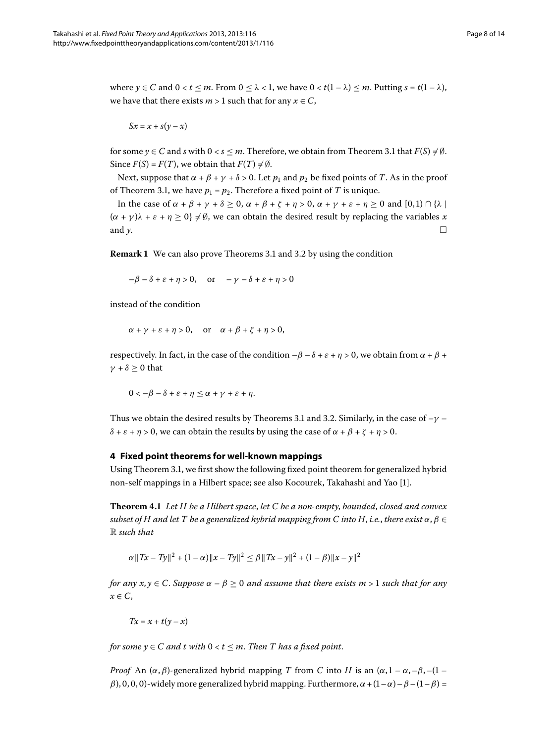where  $y \in C$  and  $0 < t \leq m$ . From  $0 \leq \lambda < 1$ , we have  $0 < t(1 - \lambda) \leq m$ . Putting  $s = t(1 - \lambda)$ , we have that there exists  $m > 1$  such that for any  $x \in C$ ,

 $Sx = x + s(y - x)$ 

for some  $y \in C$  and *s* with  $0 < s \leq m$ [.](#page-3-2) Therefore, we obtain from Theorem 3.1 that  $F(S) \neq \emptyset$ . Since  $F(S) = F(T)$ , we obtain that  $F(T) \neq \emptyset$ .

Next, suppose that  $\alpha + \beta + \gamma + \delta > 0$ . Let  $p_1$  and  $p_2$  be fixed points of *T*. As in the proof of Theorem 3[.](#page-3-2)1, we have  $p_1 = p_2$ . Therefore a fixed point of *T* is unique.

In the case of  $\alpha + \beta + \gamma + \delta \ge 0$ ,  $\alpha + \beta + \zeta + \eta > 0$ ,  $\alpha + \gamma + \varepsilon + \eta \ge 0$  and  $[0,1) \cap {\lambda}$  $(\alpha + \gamma)\lambda + \varepsilon + \eta \ge 0$   $\neq \emptyset$ , we can obtain the desired result by replacing the variables *x* and *y*.

**Remark 1** We can also prove Theorems 3[.](#page-5-0)1 and 3.2 by using the condition

 $-\beta - \delta + \varepsilon + \eta > 0$ , or  $-\gamma - \delta + \varepsilon + \eta > 0$ 

instead of the condition

$$
\alpha + \gamma + \varepsilon + \eta > 0, \quad \text{or} \quad \alpha + \beta + \zeta + \eta > 0,
$$

respectively. In fact, in the case of the condition  $-\beta - \delta + \varepsilon + \eta > 0$ , we obtain from  $\alpha + \beta + \delta$ *γ* +  $\delta$   $\geq$  0 that

$$
0<-\beta-\delta+\varepsilon+\eta\leq\alpha+\gamma+\varepsilon+\eta.
$$

Thus we obtain the desired results by Theorems 3[.](#page-5-0)1 and 3.2. Similarly, in the case of  $-\gamma$  – *δ* + *ε* + *η* > 0, we can obtain the results by using the case of  $\alpha$  +  $\beta$  +  $\zeta$  + *η* > 0.

### **4 Fixed point theorems for well-known mappings**

Using Theorem 3.1, we first show the following fixed point theorem for generalized hybrid non-self mappings in a Hilbert space; see also Kocourek, Takahashi and Yao [].

**Theorem .** *Let H be a Hilbert space*, *let C be a non-empty*, *bounded*, *closed and convex subset of H and let T be a generalized hybrid mapping from C into H, i.e., there exist*  $\alpha, \beta \in$ R *such that*

$$
\alpha \|Tx - Ty\|^2 + (1 - \alpha) \|x - Ty\|^2 \le \beta \|Tx - y\|^2 + (1 - \beta) \|x - y\|^2
$$

*for any x*,  $\gamma \in C$ . *Suppose*  $\alpha - \beta \ge 0$  *and assume that there exists m* > 1 *such that for any x* ∈ *C*,

$$
Tx = x + t(y - x)
$$

*for some*  $y \in C$  *and*  $t$  *with*  $0 < t \leq m$ *. Then*  $T$  *has a fixed point.* 

*Proof* An  $(\alpha, \beta)$ -generalized hybrid mapping *T* from *C* into *H* is an  $(\alpha, 1 - \alpha, -\beta, -(1 - \alpha))$ *β*), 0, 0, 0)-widely more generalized hybrid mapping. Furthermore,  $\alpha + (1 - \alpha) - \beta - (1 - \beta) =$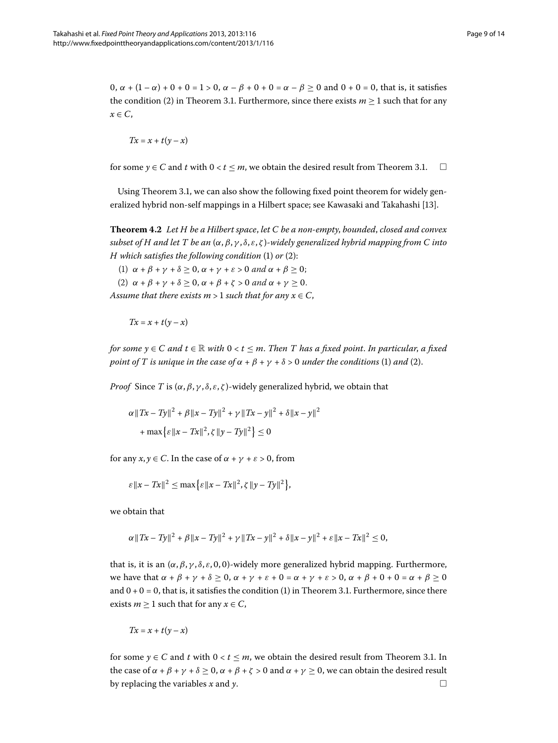$0, \alpha + (1 - \alpha) + 0 + 0 = 1 > 0, \alpha - \beta + 0 + 0 = \alpha - \beta \ge 0$  and  $0 + 0 = 0$ , that is, it satisfies the condition (2) in Theorem 3[.](#page-3-2)1. Furthermore, since there exists  $m \ge 1$  such that for any  $x \in C$ ,

$$
Tx = x + t(y - x)
$$

for some  $\gamma \in C$  and *t* with  $0 < t < m$ , we obtain the desired result from Theorem 3[.](#page-3-2)1.  $\Box$ 

Using Theorem 3.1, we can also show the following fixed point theorem for widely generalized hybrid non-self mappings in a Hilbert space; see Kawasaki and Takahashi [13].

**Theorem .** *Let H be a Hilbert space*, *let C be a non-empty*, *bounded*, *closed and convex subset of H and let T be an* (*α*,*β*, *γ* , *δ*, *ε*, *ζ* )*-widely generalized hybrid mapping from C into H* which satisfies the following condition (1) or (2):

(1)  $\alpha + \beta + \gamma + \delta \geq 0$ ,  $\alpha + \gamma + \varepsilon > 0$  and  $\alpha + \beta \geq 0$ ;

(2)  $\alpha + \beta + \gamma + \delta \geq 0$ ,  $\alpha + \beta + \zeta > 0$  and  $\alpha + \gamma \geq 0$ .

*Assume that there exists m* > 1 *such that for any*  $x \in C$ ,

$$
Tx = x + t(y - x)
$$

*for some*  $y \in C$  *and*  $t \in \mathbb{R}$  *with*  $0 < t \leq m$ . Then T has a fixed point. In particular, a fixed *point of T is unique in the case of*  $\alpha + \beta + \gamma + \delta > 0$  *under the conditions* (1) *and* (2).

*Proof* Since *T* is (*α*,*β*, *γ* , *δ*, *ε*, *ζ* )-widely generalized hybrid, we obtain that

$$
\alpha \|Tx - Ty\|^2 + \beta \|x - Ty\|^2 + \gamma \|Tx - y\|^2 + \delta \|x - y\|^2
$$
  
+ 
$$
\max \{\varepsilon \|x - Tx\|^2, \zeta \|y - Ty\|^2\} \le 0
$$

for any  $x, y \in C$ . In the case of  $\alpha + \gamma + \varepsilon > 0$ , from

$$
\varepsilon ||x - Tx||^2 \leq \max\bigl\{\varepsilon ||x - Tx||^2, \zeta ||y - Ty||^2\bigr\},\
$$

we obtain that

$$
\alpha \|Tx - Ty\|^2 + \beta \|x - Ty\|^2 + \gamma \|Tx - y\|^2 + \delta \|x - y\|^2 + \varepsilon \|x - Tx\|^2 \leq 0,
$$

that is, it is an  $(α, β, γ, δ, ε, 0, 0)$ -widely more generalized hybrid mapping. Furthermore, we have that  $\alpha + \beta + \gamma + \delta \ge 0$ ,  $\alpha + \gamma + \varepsilon + 0 = \alpha + \gamma + \varepsilon > 0$ ,  $\alpha + \beta + 0 + 0 = \alpha + \beta \ge 0$ and  $0 + 0 = 0$ , that is, it satisfies the condition (1) in Theorem 3[.](#page-3-2)1. Furthermore, since there exists  $m \geq 1$  such that for any  $x \in C$ ,

$$
Tx = x + t(y - x)
$$

for some  $y \in C$  and *t* with  $0 < t \le m$ , we obtain the desired result from Theorem 3[.](#page-3-2)1. In the case of  $\alpha + \beta + \gamma + \delta \ge 0$ ,  $\alpha + \beta + \zeta > 0$  and  $\alpha + \gamma \ge 0$ , we can obtain the desired result by replacing the variables *x* and *y*.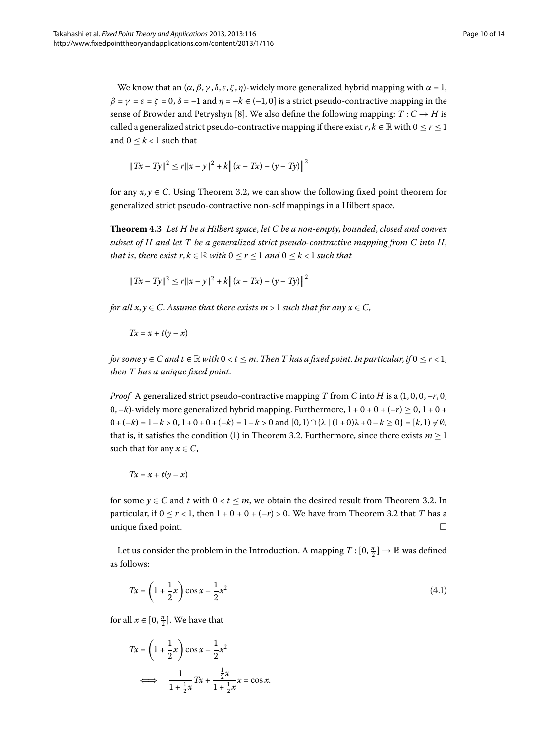We know that an  $(\alpha, \beta, \gamma, \delta, \varepsilon, \zeta, \eta)$ -widely more generalized hybrid mapping with  $\alpha = 1$ ,  $\beta = \gamma = \varepsilon = \zeta = 0$ ,  $\delta = -1$  and  $\eta = -k \in (-1, 0]$  is a strict pseudo-contractive mapping in the sense of Browder and Petryshyn [8[\]](#page-13-7). We also define the following mapping:  $T: C \rightarrow H$  is called a generalized strict pseudo-contractive mapping if there exist  $r, k \in \mathbb{R}$  with  $0 \le r \le 1$ and  $0 \leq k < 1$  such that

$$
||Tx - Ty||2 \le r||x - y||2 + k|| (x - Tx) - (y - Ty)||2
$$

for any  $x, y \in C$ [.](#page-5-0) Using Theorem 3.2, we can show the following fixed point theorem for generalized strict pseudo-contractive non-self mappings in a Hilbert space.

**Theorem .** *Let H be a Hilbert space*, *let C be a non-empty*, *bounded*, *closed and convex subset of H and let T be a generalized strict pseudo-contractive mapping from C into H*, *that is, there exist r,*  $k \in \mathbb{R}$  *with*  $0 \le r \le 1$  *and*  $0 \le k < 1$  *such that* 

$$
||Tx - Ty||2 \le r||x - y||2 + k|| (x - Tx) - (y - Ty)||2
$$

*for all*  $x, y \in C$ . Assume that there exists  $m > 1$  such that for any  $x \in C$ ,

$$
Tx = x + t(y - x)
$$

*for some y*  $\in$  *C* and  $t \in \mathbb{R}$  *with*  $0 < t \leq m$ . Then *T* has a fixed point. In particular, if  $0 \leq r < 1$ , *then T has a unique fixed point*.

*Proof* A generalized strict pseudo-contractive mapping T from C into *H* is a  $(1,0,0,-r,0,$ 0,  $-k$ )-widely more generalized hybrid mapping. Furthermore,  $1 + 0 + 0 + (-r) \ge 0$ ,  $1 + 0 +$  $0+ (-k) = 1-k > 0, 1+0+0+(-k) = 1-k > 0$  and  $[0,1) \cap {\lambda} (1+0)\lambda + 0-k \ge 0 = [k,1) \ne \emptyset$ , that is, it satisfies the condition (1) in Theorem 3[.](#page-5-0)2. Furthermore, since there exists  $m \geq 1$ such that for any  $x \in C$ ,

<span id="page-9-0"></span>
$$
Tx = x + t(y - x)
$$

for some  $y \in C$  and *t* with  $0 < t \le m$ , we obtain the desired result from Theorem 3.2. In particular, if  $0 \le r < 1$ , then  $1 + 0 + 0 + (-r) > 0$ [.](#page-5-0) We have from Theorem 3.2 that *T* has a unique fixed point.  $\Box$ 

Let us consider the problem in the Introduction. A mapping  $T : [0, \frac{\pi}{2}] \to \mathbb{R}$  was defined as follows:

$$
Tx = \left(1 + \frac{1}{2}x\right)\cos x - \frac{1}{2}x^2\tag{4.1}
$$

for all  $x \in [0, \frac{\pi}{2}]$ . We have that

$$
Tx = \left(1 + \frac{1}{2}x\right)\cos x - \frac{1}{2}x^2
$$
  

$$
\iff \frac{1}{1 + \frac{1}{2}x}Tx + \frac{\frac{1}{2}x}{1 + \frac{1}{2}x}x = \cos x.
$$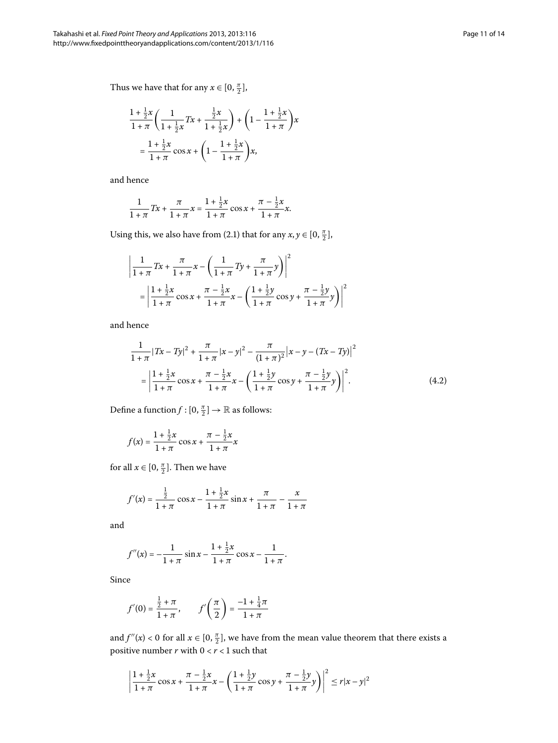Thus we have that for any  $x \in [0, \frac{\pi}{2}]$ ,

$$
\frac{1 + \frac{1}{2}x}{1 + \pi} \left( \frac{1}{1 + \frac{1}{2}x} Tx + \frac{\frac{1}{2}x}{1 + \frac{1}{2}x} \right) + \left( 1 - \frac{1 + \frac{1}{2}x}{1 + \pi} \right) x
$$

$$
= \frac{1 + \frac{1}{2}x}{1 + \pi} \cos x + \left( 1 - \frac{1 + \frac{1}{2}x}{1 + \pi} \right) x,
$$

and hence

$$
\frac{1}{1+\pi}Tx + \frac{\pi}{1+\pi}x = \frac{1+\frac{1}{2}x}{1+\pi}\cos x + \frac{\pi-\frac{1}{2}x}{1+\pi}x.
$$

Using this, we also have from (2.1) that for any  $x, y \in [0, \frac{\pi}{2}]$ ,

$$
\left| \frac{1}{1+\pi} Tx + \frac{\pi}{1+\pi} x - \left( \frac{1}{1+\pi} Ty + \frac{\pi}{1+\pi} y \right) \right|^2
$$
  
= 
$$
\left| \frac{1+\frac{1}{2}x}{1+\pi} \cos x + \frac{\pi - \frac{1}{2}x}{1+\pi} x - \left( \frac{1+\frac{1}{2}y}{1+\pi} \cos y + \frac{\pi - \frac{1}{2}y}{1+\pi} y \right) \right|^2
$$

and hence

<span id="page-10-0"></span>
$$
\frac{1}{1+\pi} |Tx - Ty|^2 + \frac{\pi}{1+\pi} |x - y|^2 - \frac{\pi}{(1+\pi)^2} |x - y - (Tx - Ty)|^2
$$

$$
= \left| \frac{1+\frac{1}{2}x}{1+\pi} \cos x + \frac{\pi - \frac{1}{2}x}{1+\pi} x - \left( \frac{1+\frac{1}{2}y}{1+\pi} \cos y + \frac{\pi - \frac{1}{2}y}{1+\pi} y \right) \right|^2.
$$
(4.2)

Define a function  $f : [0, \frac{\pi}{2}] \to \mathbb{R}$  as follows:

$$
f(x) = \frac{1 + \frac{1}{2}x}{1 + \pi} \cos x + \frac{\pi - \frac{1}{2}x}{1 + \pi}x
$$

for all  $x \in [0, \frac{\pi}{2}]$ . Then we have

$$
f'(x) = \frac{\frac{1}{2}}{1+\pi} \cos x - \frac{1+\frac{1}{2}x}{1+\pi} \sin x + \frac{\pi}{1+\pi} - \frac{x}{1+\pi}
$$

and

$$
f''(x) = -\frac{1}{1+\pi} \sin x - \frac{1+\frac{1}{2}x}{1+\pi} \cos x - \frac{1}{1+\pi}.
$$

Since

$$
f'(0) = \frac{\frac{1}{2} + \pi}{1 + \pi}, \qquad f'\left(\frac{\pi}{2}\right) = \frac{-1 + \frac{1}{4}\pi}{1 + \pi}
$$

and  $f''(x) < 0$  for all  $x \in [0, \frac{\pi}{2}]$ , we have from the mean value theorem that there exists a positive number  $r$  with  $0 < r < 1$  such that

$$
\left|\frac{1+\frac{1}{2}x}{1+\pi}\cos x + \frac{\pi-\frac{1}{2}x}{1+\pi}x - \left(\frac{1+\frac{1}{2}y}{1+\pi}\cos y + \frac{\pi-\frac{1}{2}y}{1+\pi}y\right)\right|^2 \le r|x-y|^2
$$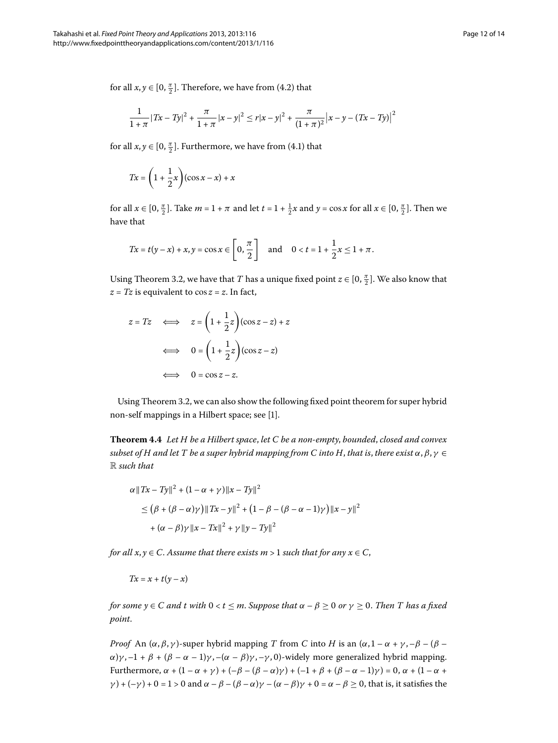for all  $x, y \in [0, \frac{\pi}{2}]$ [.](#page-10-0) Therefore, we have from (4.2) that

$$
\frac{1}{1+\pi} |Tx - Ty|^2 + \frac{\pi}{1+\pi} |x - y|^2 \le r|x - y|^2 + \frac{\pi}{(1+\pi)^2} |x - y - (Tx - Ty)|^2
$$

for all  $x, y \in [0, \frac{\pi}{2}]$ . Furthermore, we have from (4.1) that

$$
Tx = \left(1 + \frac{1}{2}x\right)(\cos x - x) + x
$$

for all  $x \in [0, \frac{\pi}{2}]$ . Take  $m = 1 + \pi$  and let  $t = 1 + \frac{1}{2}x$  and  $y = \cos x$  for all  $x \in [0, \frac{\pi}{2}]$ . Then we have that

$$
Tx = t(y - x) + x, y = \cos x \in \left[0, \frac{\pi}{2}\right] \text{ and } 0 < t = 1 + \frac{1}{2}x \le 1 + \pi.
$$

Using Theorem 3[.](#page-5-0)2, we have that *T* has a unique fixed point  $z \in [0, \frac{\pi}{2}]$ . We also know that  $z = Tz$  is equivalent to  $\cos z = z$ . In fact,

$$
z = Tz \iff z = \left(1 + \frac{1}{2}z\right)(\cos z - z) + z
$$

$$
\iff 0 = \left(1 + \frac{1}{2}z\right)(\cos z - z)
$$

$$
\iff 0 = \cos z - z.
$$

Using Theorem 3.2, we can also show the following fixed point theorem for super hybrid non-self mappings in a Hilbert space; see [\[](#page-13-0)1].

**Theorem .** *Let H be a Hilbert space*, *let C be a non-empty*, *bounded*, *closed and convex subset of H and let T be a super hybrid mapping from C into H*, *that is*, *there exist α*,*β*, *γ* ∈ R *such that*

$$
\alpha \|Tx - Ty\|^2 + (1 - \alpha + \gamma) \|x - Ty\|^2
$$
  
\n
$$
\leq (\beta + (\beta - \alpha)\gamma) \|Tx - y\|^2 + (1 - \beta - (\beta - \alpha - 1)\gamma) \|x - y\|^2
$$
  
\n
$$
+ (\alpha - \beta)\gamma \|x - Tx\|^2 + \gamma \|y - Ty\|^2
$$

*for all*  $x, y \in C$ . Assume that there exists  $m > 1$  such that for any  $x \in C$ ,

$$
Tx = x + t(y - x)
$$

*for some*  $y \in C$  *and*  $t$  *with*  $0 < t \le m$ *. Suppose that*  $\alpha - \beta \ge 0$  *or*  $\gamma \ge 0$ *. Then*  $T$  *has a fixed point*.

*Proof* An  $(\alpha, \beta, \gamma)$ -super hybrid mapping *T* from *C* into *H* is an  $(\alpha, 1 - \alpha + \gamma, -\beta - (\beta - \gamma)\gamma)$ *α*)*γ*,  $-1 + β + (β – α – 1)$ *γ*,  $-(α – β)$ *γ*,  $-γ$ , 0)-widely more generalized hybrid mapping. Furthermore,  $\alpha + (1 - \alpha + \gamma) + (-\beta - (\beta - \alpha)\gamma) + (-1 + \beta + (\beta - \alpha - 1)\gamma) = 0$ ,  $\alpha + (1 - \alpha + \gamma) = 0$ *γ*) + (–*γ*) + 0 = 1 > 0 and  $\alpha - \beta - (\beta - \alpha)\gamma - (\alpha - \beta)\gamma + 0 = \alpha - \beta \ge 0$ , that is, it satisfies the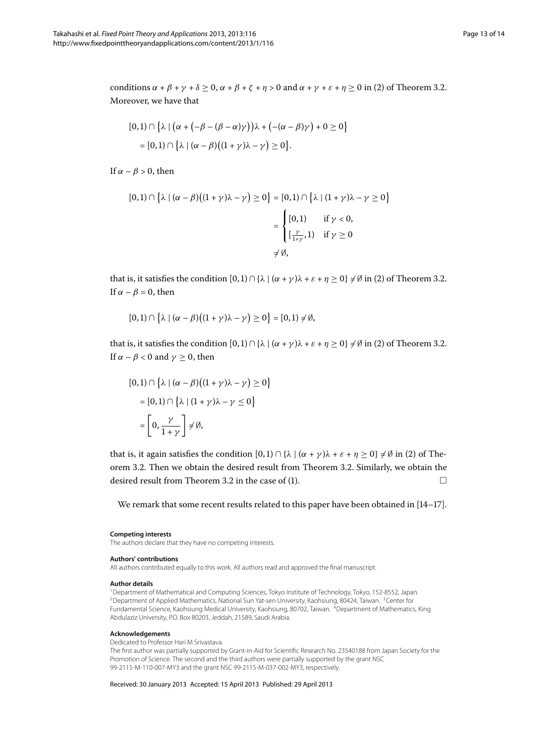conditions  $\alpha + \beta + \gamma + \delta \ge 0$ ,  $\alpha + \beta + \zeta + \eta > 0$  and  $\alpha + \gamma + \varepsilon + \eta \ge 0$  in (2) of Theorem 3[.](#page-5-0)2. Moreover, we have that

$$
[0,1) \cap \{\lambda \mid (\alpha + (-\beta - (\beta - \alpha)\gamma))\lambda + (-(\alpha - \beta)\gamma) + 0 \ge 0\}
$$
  
= [0,1) \cap \{\lambda \mid (\alpha - \beta)((1 + \gamma)\lambda - \gamma) \ge 0\}.

If  $\alpha - \beta > 0$ , then

$$
[0,1) \cap \left\{\lambda \mid (\alpha - \beta)\big((1 + \gamma)\lambda - \gamma\big) \ge 0\right\} = [0,1) \cap \left\{\lambda \mid (1 + \gamma)\lambda - \gamma \ge 0\right\}
$$

$$
= \begin{cases} [0,1) & \text{if } \gamma < 0, \\ \left[\frac{\gamma}{1 + \gamma}, 1\right) & \text{if } \gamma \ge 0 \end{cases}
$$

$$
\neq \emptyset,
$$

that is, it satisfies the condition  $[0, 1) \cap {\lambda \mid (\alpha + \gamma)\lambda + \varepsilon + \eta \ge 0} \neq \emptyset$  in (2) of Theorem 3.2. If  $\alpha - \beta = 0$ , then

$$
[0,1)\cap\big\{\lambda\mid(\alpha-\beta)\big((1+\gamma)\lambda-\gamma\big)\geq 0\big\}=[0,1)\neq\emptyset,
$$

that is, it satisfies the condition  $[0, 1) \cap {\lambda} | (\alpha + \gamma)\lambda + \varepsilon + \eta \geq 0 \} \neq \emptyset$  in (2) of Theorem 3.2. If  $\alpha - \beta < 0$  and  $\gamma \geq 0$ , then

$$
[0,1) \cap \{\lambda \mid (\alpha - \beta)((1 + \gamma)\lambda - \gamma) \ge 0\}
$$

$$
= [0,1) \cap \{\lambda \mid (1 + \gamma)\lambda - \gamma \le 0\}
$$

$$
= \left[0, \frac{\gamma}{1 + \gamma}\right] \neq \emptyset,
$$

that is, it again satisfies the condition  $[0, 1) \cap {\lambda \mid (\alpha + \gamma)\lambda + \varepsilon + \eta \geq 0} \neq \emptyset$  in (2) of Theorem 3.2. Then we obtain the desired result from Theorem 3.2. Similarly, we obtain the desired result from Theorem 3[.](#page-5-0)2 in the case of (1).  $\Box$ 

<span id="page-12-3"></span><span id="page-12-2"></span>We remark that some recent results related to this paper have been obtained in  $[14-17]$  $[14-17]$ .

#### <span id="page-12-1"></span><span id="page-12-0"></span>**Competing interests**

The authors declare that they have no competing interests.

#### **Authors' contributions**

All authors contributed equally to this work. All authors read and approved the final manuscript.

#### **Author details**

1Department of Mathematical and Computing Sciences, Tokyo Institute of Technology, Tokyo, 152-8552, Japan. <sup>2</sup> Department of Applied Mathematics, National Sun Yat-sen University, Kaohsiung, 80424, Taiwan. <sup>3</sup> Center for Fundamental Science, Kaohsiung Medical University, Kaohsiung, 80702, Taiwan. 4Department of Mathematics, King Abdulaziz University, P.O. Box 80203, Jeddah, 21589, Saudi Arabia.

#### **Acknowledgements**

Dedicated to Professor Hari M Srivastava.

The first author was partially supported by Grant-in-Aid for Scientific Research No. 23540188 from Japan Society for the Promotion of Science. The second and the third authors were partially supported by the grant NSC 99-2115-M-110-007-MY3 and the grant NSC 99-2115-M-037-002-MY3, respectively.

Received: 30 January 2013 Accepted: 15 April 2013 Published: 29 April 2013